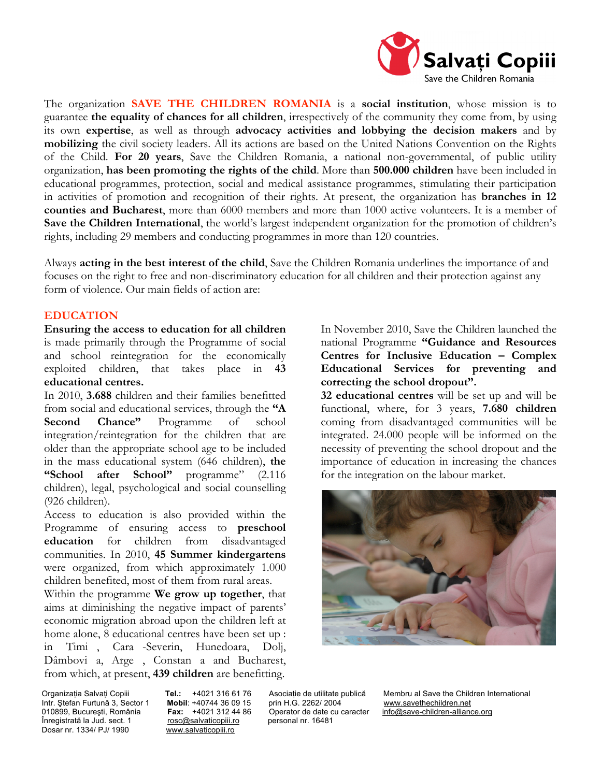

The organization **SAVE THE CHILDREN ROMANIA** is a **social institution**, whose mission is to guarantee **the equality of chances for all children**, irrespectively of the community they come from, by using its own **expertise**, as well as through **advocacy activities and lobbying the decision makers** and by **mobilizing** the civil society leaders. All its actions are based on the United Nations Convention on the Rights of the Child. **For 20 years**, Save the Children Romania, a national non-governmental, of public utility organization, **has been promoting the rights of the child**. More than **500.000 children** have been included in educational programmes, protection, social and medical assistance programmes, stimulating their participation in activities of promotion and recognition of their rights. At present, the organization has **branches in 12 counties and Bucharest**, more than 6000 members and more than 1000 active volunteers. It is a member of **Save the Children International**, the world's largest independent organization for the promotion of children's rights, including 29 members and conducting programmes in more than 120 countries.

Always **acting in the best interest of the child**, Save the Children Romania underlines the importance of and focuses on the right to free and non-discriminatory education for all children and their protection against any form of violence. Our main fields of action are:

# **EDUCATION**

**Ensuring the access to education for all children**  is made primarily through the Programme of social and school reintegration for the economically exploited children, that takes place in **43 educational centres.** 

In 2010, **3.688** children and their families benefitted from social and educational services, through the **"A Second Chance"** Programme of school integration/reintegration for the children that are older than the appropriate school age to be included in the mass educational system (646 children), **the "School after School"** programme" (2.116 children), legal, psychological and social counselling (926 children).

Access to education is also provided within the Programme of ensuring access to **preschool education** for children from disadvantaged communities. In 2010, **45 Summer kindergartens** were organized, from which approximately 1.000 children benefited, most of them from rural areas.

Within the programme **We grow up together**, that aims at diminishing the negative impact of parents' economic migration abroad upon the children left at home alone, 8 educational centres have been set up : in Timi, Cara-Severin, Hunedoara, Dolj, Dâmbovi a, Arge, Constan a and Bucharest, from which, at present, **439 children** are benefitting.

In November 2010, Save the Children launched the national Programme **"Guidance and Resources Centres for Inclusive Education – Complex Educational Services for preventing and correcting the school dropout".** 

**32 educational centres** will be set up and will be functional, where, for 3 years, **7.680 children**  coming from disadvantaged communities will be integrated. 24.000 people will be informed on the necessity of preventing the school dropout and the importance of education in increasing the chances for the integration on the labour market.



Intr. Ştefan Furtună 3, Sector 1 **Mobil**: +40744 36 09 15 prin H.G. 2262/ 2004 www.savethechildren.net 010899, Bucureşti, România **Fax:** +4021 312 44 86 Operator de date cu caracter info@save-children-alliance.org<br>Înregistrată la Jud. sect. 1 **Faccana a Faccana e a Secutea Este** personal nr. 16481 Înregistrată la Jud. sect. 1 Dosar nr. 1334/ PJ/ 1990 www.salvaticopiii.ro

Organizația Salvați Copiii **Tel.:** +4021 316 61 76 Asociație de utilitate publică Membru al Save the Children International<br>Intr. Ștefan Furtună 3, Sector 1 **Mobil**: +40744 36 09 15 prin H.G. 2262/ 2004 www.savethechildren